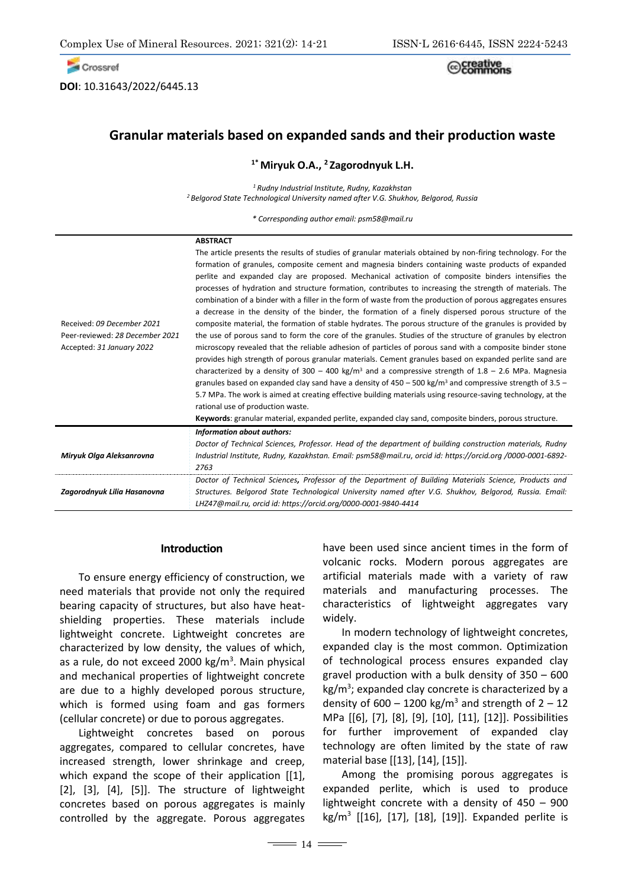## Crossref **DOI**: 10.31643/2022/6445.13

**<sup>◎</sup>Creative** 

### **Granular materials based on expanded sands and their production waste**

**1\*Miryuk O.A., <sup>2</sup>Zagorodnyuk L.H.**

*<sup>1</sup>Rudny Industrial Institute, Rudny, Kazakhstan <sup>2</sup>Belgorod State Technological University named after V.G. Shukhov, Belgorod, Russia*

*\* Corresponding author email: [psm58@mail.ru](mailto:psm58@mail.ru)*

| Received: 09 December 2021<br>Peer-reviewed: 28 December 2021<br>Accepted: 31 January 2022 | <b>ABSTRACT</b><br>The article presents the results of studies of granular materials obtained by non-firing technology. For the                                                                                         |
|--------------------------------------------------------------------------------------------|-------------------------------------------------------------------------------------------------------------------------------------------------------------------------------------------------------------------------|
|                                                                                            | formation of granules, composite cement and magnesia binders containing waste products of expanded                                                                                                                      |
|                                                                                            | perlite and expanded clay are proposed. Mechanical activation of composite binders intensifies the                                                                                                                      |
|                                                                                            | processes of hydration and structure formation, contributes to increasing the strength of materials. The<br>combination of a binder with a filler in the form of waste from the production of porous aggregates ensures |
|                                                                                            | a decrease in the density of the binder, the formation of a finely dispersed porous structure of the                                                                                                                    |
|                                                                                            | composite material, the formation of stable hydrates. The porous structure of the granules is provided by                                                                                                               |
|                                                                                            | the use of porous sand to form the core of the granules. Studies of the structure of granules by electron<br>microscopy revealed that the reliable adhesion of particles of porous sand with a composite binder stone   |
|                                                                                            | provides high strength of porous granular materials. Cement granules based on expanded perlite sand are                                                                                                                 |
|                                                                                            | characterized by a density of 300 – 400 kg/m <sup>3</sup> and a compressive strength of 1.8 – 2.6 MPa. Magnesia                                                                                                         |
|                                                                                            | granules based on expanded clay sand have a density of 450 – 500 kg/m <sup>3</sup> and compressive strength of 3.5 –                                                                                                    |
|                                                                                            | 5.7 MPa. The work is aimed at creating effective building materials using resource-saving technology, at the<br>rational use of production waste.                                                                       |
|                                                                                            | Keywords: granular material, expanded perlite, expanded clay sand, composite binders, porous structure.                                                                                                                 |
|                                                                                            | Information about authors:                                                                                                                                                                                              |
| Miryuk Olga Aleksanrovna                                                                   | Doctor of Technical Sciences, Professor. Head of the department of building construction materials, Rudny                                                                                                               |
|                                                                                            | Industrial Institute, Rudny, Kazakhstan. Email: psm58@mail.ru, orcid id: https://orcid.org /0000-0001-6892-<br>2763                                                                                                     |
| Zagorodnyuk Lilia Hasanovna                                                                | Doctor of Technical Sciences, Professor of the Department of Building Materials Science, Products and                                                                                                                   |
|                                                                                            | Structures. Belgorod State Technological University named after V.G. Shukhov, Belgorod, Russia. Email:                                                                                                                  |
|                                                                                            | LHZ47@mail.ru, orcid id: https://orcid.org/0000-0001-9840-4414                                                                                                                                                          |

### **Introduction**

To ensure energy efficiency of construction, we need materials that provide not only the required bearing capacity of structures, but also have heatshielding properties. These materials include lightweight concrete. Lightweight concretes are characterized by low density, the values of which, as a rule, do not exceed 2000 kg/m<sup>3</sup>. Main physical and mechanical properties of lightweight concrete are due to a highly developed porous structure, which is formed using foam and gas formers (cellular concrete) or due to porous aggregates.

Lightweight concretes based on porous aggregates, compared to cellular concretes, have increased strength, lower shrinkage and creep, which expand the scope of their application [[1], [2], [3], [4], [5]]. The structure of lightweight concretes based on porous aggregates is mainly controlled by the aggregate. Porous aggregates

have been used since ancient times in the form of volcanic rocks. Modern porous aggregates are artificial materials made with a variety of raw materials and manufacturing processes. The characteristics of lightweight aggregates vary widely.

In modern technology of lightweight concretes, expanded clay is the most common. Optimization of technological process ensures expanded clay gravel production with a bulk density of 350 – 600 kg/m<sup>3</sup>; expanded clay concrete is characterized by a density of  $600 - 1200$  kg/m<sup>3</sup> and strength of  $2 - 12$ MPa [[6], [7], [8], [9], [10], [11], [12]]. Possibilities for further improvement of expanded clay technology are often limited by the state of raw material base [[13], [14], [15]].

Among the promising porous aggregates is expanded perlite, which is used to produce lightweight concrete with a density of 450 – 900 kg/m<sup>3</sup> [[16], [17], [18], [19]]. Expanded perlite is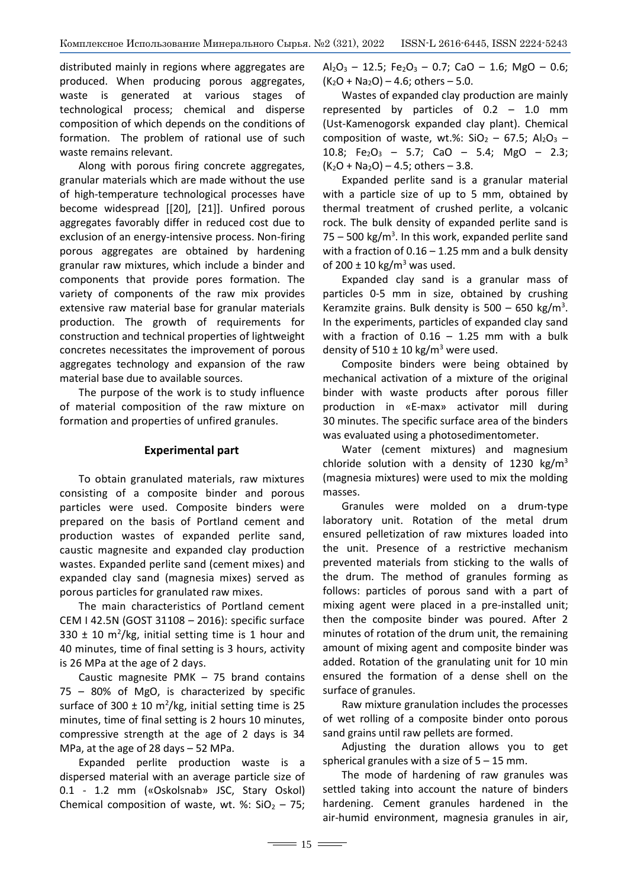distributed mainly in regions where aggregates are produced. When producing porous aggregates, waste is generated at various stages of technological process; chemical and disperse composition of which depends on the conditions of formation. The problem of rational use of such waste remains relevant.

Along with porous firing concrete aggregates, granular materials which are made without the use of high-temperature technological processes have become widespread [[20], [21]]. Unfired porous aggregates favorably differ in reduced cost due to exclusion of an energy-intensive process. Non-firing porous aggregates are obtained by hardening granular raw mixtures, which include a binder and components that provide pores formation. The variety of components of the raw mix provides extensive raw material base for granular materials production. The growth of requirements for construction and technical properties of lightweight concretes necessitates the improvement of porous aggregates technology and expansion of the raw material base due to available sources.

The purpose of the work is to study influence of material composition of the raw mixture on formation and properties of unfired granules.

### **Experimental part**

To obtain granulated materials, raw mixtures consisting of a composite binder and porous particles were used. Composite binders were prepared on the basis of Portland cement and production wastes of expanded perlite sand, caustic magnesite and expanded clay production wastes. Expanded perlite sand (cement mixes) and expanded clay sand (magnesia mixes) served as porous particles for granulated raw mixes.

The main characteristics of Portland cement CEM I 42.5N (GOST 31108 – 2016): specific surface 330  $\pm$  10 m<sup>2</sup>/kg, initial setting time is 1 hour and 40 minutes, time of final setting is 3 hours, activity is 26 MPa at the age of 2 days.

Caustic magnesite PMK – 75 brand contains 75 – 80% of MgO, is characterized by specific surface of 300  $\pm$  10 m<sup>2</sup>/kg, initial setting time is 25 minutes, time of final setting is 2 hours 10 minutes, compressive strength at the age of 2 days is 34 MPa, at the age of 28 days – 52 MPa.

Expanded perlite production waste is a dispersed material with an average particle size of 0.1 - 1.2 mm («Oskolsnab» JSC, Stary Oskol) Chemical composition of waste, wt. %:  $SiO_2 - 75$ ;  $Al_2O_3 - 12.5$ ; Fe<sub>2</sub>O<sub>3</sub> – 0.7; CaO – 1.6; MgO – 0.6;  $(K_2O + Na_2O) - 4.6$ ; others  $-5.0$ .

Wastes of expanded clay production are mainly represented by particles of 0.2 – 1.0 mm (Ust-Kamenogorsk expanded clay plant). Chemical composition of waste, wt.%:  $SiO_2 - 67.5$ ;  $Al_2O_3 -$ 10.8; Fe<sub>2</sub>O<sub>3</sub> - 5.7; CaO - 5.4; MgO - 2.3;  $(K_2O + Na_2O) - 4.5$ ; others  $- 3.8$ .

Expanded perlite sand is a granular material with a particle size of up to 5 mm, obtained by thermal treatment of crushed perlite, a volcanic rock. The bulk density of expanded perlite sand is  $75 - 500$  kg/m<sup>3</sup>. In this work, expanded perlite sand with a fraction of 0.16 – 1.25 mm and a bulk density of 200  $\pm$  10 kg/m<sup>3</sup> was used.

Expanded clay sand is a granular mass of particles 0-5 mm in size, obtained by crushing Keramzite grains. Bulk density is  $500 - 650$  kg/m<sup>3</sup>. In the experiments, particles of expanded clay sand with a fraction of  $0.16 - 1.25$  mm with a bulk density of  $510 \pm 10$  kg/m<sup>3</sup> were used.

Composite binders were being obtained by mechanical activation of a mixture of the original binder with waste products after porous filler production in «E-max» activator mill during 30 minutes. The specific surface area of the binders was evaluated using a photosedimentometer.

Water (cement mixtures) and magnesium chloride solution with a density of 1230 kg/m<sup>3</sup> (magnesia mixtures) were used to mix the molding masses.

Granules were molded on a drum-type laboratory unit. Rotation of the metal drum ensured pelletization of raw mixtures loaded into the unit. Presence of a restrictive mechanism prevented materials from sticking to the walls of the drum. The method of granules forming as follows: particles of porous sand with a part of mixing agent were placed in a pre-installed unit; then the composite binder was poured. After 2 minutes of rotation of the drum unit, the remaining amount of mixing agent and composite binder was added. Rotation of the granulating unit for 10 min ensured the formation of a dense shell on the surface of granules.

Raw mixture granulation includes the processes of wet rolling of a composite binder onto porous sand grains until raw pellets are formed.

Adjusting the duration allows you to get spherical granules with a size of  $5 - 15$  mm.

The mode of hardening of raw granules was settled taking into account the nature of binders hardening. Cement granules hardened in the air-humid environment, magnesia granules in air,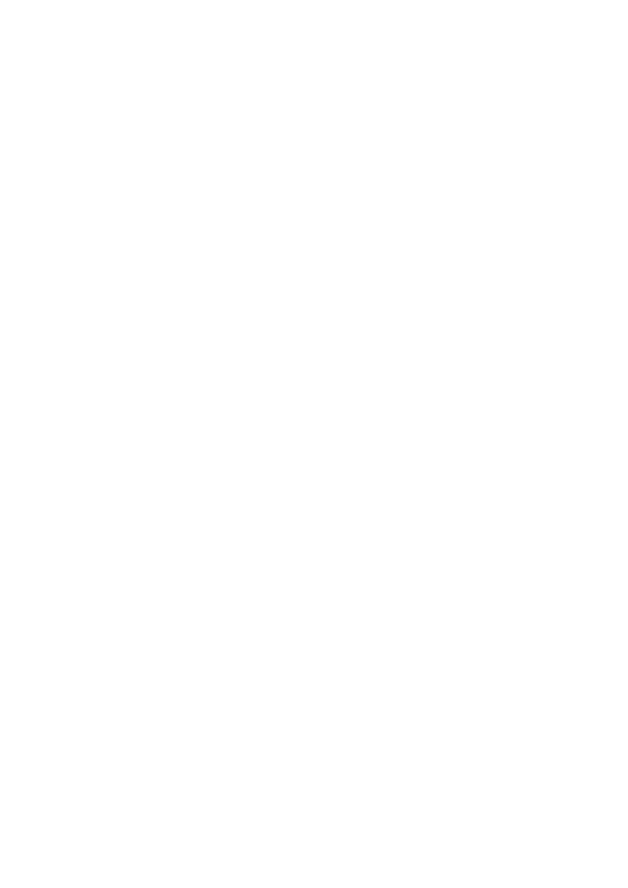### DOI 10.31643/2022/6445.13

# Granular materials based on expanded sands and their production waste

<sup>1</sup>\* Miryuk O.A., <sup>2</sup> Zagorodnyuk LH.

<sup>1</sup> Rudny Industrial InstituteRudny Kazakhstan

<sup>2</sup>Belgorod State Technological University named after V.G. Shukhov, Belgorod, Russia

\* Corresponding author emailsm58@mail.ru

|                                                                                       | <b>ABSTRACT</b>                                                                                                                                                                                                                                                                                                                                                                                                                                                                                                                                                                                                                                                                                                                                                                                                                                                                                                                                                                                                                                                                                                                                                                                                                                                                                                                                                                                                                                                                                                                           |
|---------------------------------------------------------------------------------------|-------------------------------------------------------------------------------------------------------------------------------------------------------------------------------------------------------------------------------------------------------------------------------------------------------------------------------------------------------------------------------------------------------------------------------------------------------------------------------------------------------------------------------------------------------------------------------------------------------------------------------------------------------------------------------------------------------------------------------------------------------------------------------------------------------------------------------------------------------------------------------------------------------------------------------------------------------------------------------------------------------------------------------------------------------------------------------------------------------------------------------------------------------------------------------------------------------------------------------------------------------------------------------------------------------------------------------------------------------------------------------------------------------------------------------------------------------------------------------------------------------------------------------------------|
| Received09 December 2021<br>Peerreviewed 28 December 2021<br>Accepted 31 January 2022 | The article presents the results of studies of granular materials obtained brining technology. For the<br>formation of granules, composite cement and magnesia binders containing waste products of exp<br>perlite and expanded ay are proposed. Mechanical activation of composite binders intensifies<br>processes of hydration and structure formation, contributes to increasing the strength of materials<br>combination of a binder with a filler in the form of waste from the prodion of porous aggregates ensure<br>a decrease in the density of the binder, the formation of a finely dispersed porous structure o<br>composite material, the formation of stable hydrates. The porous structure of the granules is provid<br>the use of poous sand to form the core of the granules. Studies of the structure of granules by ele<br>microscopy revealed that the reliable adhesion of particles of porous sand with a composite binder<br>provides high strength of porous granular materials. Cengranules based on expanded perlite sand a<br>characterized by a density of 300400 kg/m <sup>3</sup> and a compressive strength of 1.82.6 MPa. Magnesia<br>granules based on expanded clay sand have a density of $850 \text{ kg/m}^3$ and compressive strength of 3.5<br>5.7 MPa. The work is aimed at creating effective building materials using ressaring technology, at the<br>rational use of production waste.<br>Keywords: granular material, expanded perlite, expanded clay sand, composite binders, porous structu |
| Miryuk Olga Aeksanrovna                                                               | Information about authors:<br>Doctor of Technical Sciences, Professiend of the department of building construction materialsuchy<br>Industrial Institute Rudny, Kazakhstafimail: psm58@mail.ruorcid id:https://orcid.org/0000-0001-6892-<br>2763                                                                                                                                                                                                                                                                                                                                                                                                                                                                                                                                                                                                                                                                                                                                                                                                                                                                                                                                                                                                                                                                                                                                                                                                                                                                                          |
| ZagorodnyukLilia Hasanovna                                                            | Doctor of Technical Science Stofessor of the Department of Building Materials Science, Products<br>Structures. Belgorod State Technological University named after V.G. Shukhov, BelgorodERatsi<br>LHZ47@mail.ruorcid id:https://orcid.org/00000001-98404414                                                                                                                                                                                                                                                                                                                                                                                                                                                                                                                                                                                                                                                                                                                                                                                                                                                                                                                                                                                                                                                                                                                                                                                                                                                                              |

### **Introduction**

have been used since ancient times in the form of volcanic rocks. Modern porous aggregates are artificial materials madewith a variety of raw To ensure energy efficiency of constructione need materials that provide not only the required materials and mantacturing processes. The bearing capacity of structures, but also have heatcharacteristics of lightweight aggregates vary

shielding properties. These materials includewidely. lightweight concrete. Lightweight concretes are In modern technology of lightweight concrete expanded clay is the most common. Optimization characterized by low density, the value of which. as a rule, do not exceed 2000 kg/nMain physical of technological process ensures expanded clay and mechanical properties of lightweight concretegravel production with a bulklensity of 350t 600 are due to a highly developed porous structure, kg/m<sup>3</sup>; expanded clay concrete is characterized by a which is formed using foam and gas formersdensity of 600t 1200 kg/m<sup>3</sup> and strength of 2t 12 MPa [[6], [7], [8], [9], [10], [11], [12]]. Bssibilities (cellular concrete) or duto porous aggregates.

Lightweight concretes based on porousfor further improvement of expanded clay aggregates, compared to cellular concretes, haveechnology are often limited byhe state of raw increased strength, lower shrinkage and creepmaterial base[13], [14], [15]] Among the promising porous aggregates is which expand the scope of their application in [2], [3], [4], [5]]. The structure of lightweight expanded perlite, which is used to produce concretes based on porous aggregates is mainly lightweight concrete with a density of 450 900 controlled by the aggregate. Porous aggregate \$9/m<sup>3</sup> [[16], [17], [18], [19]]. Expanded perlite is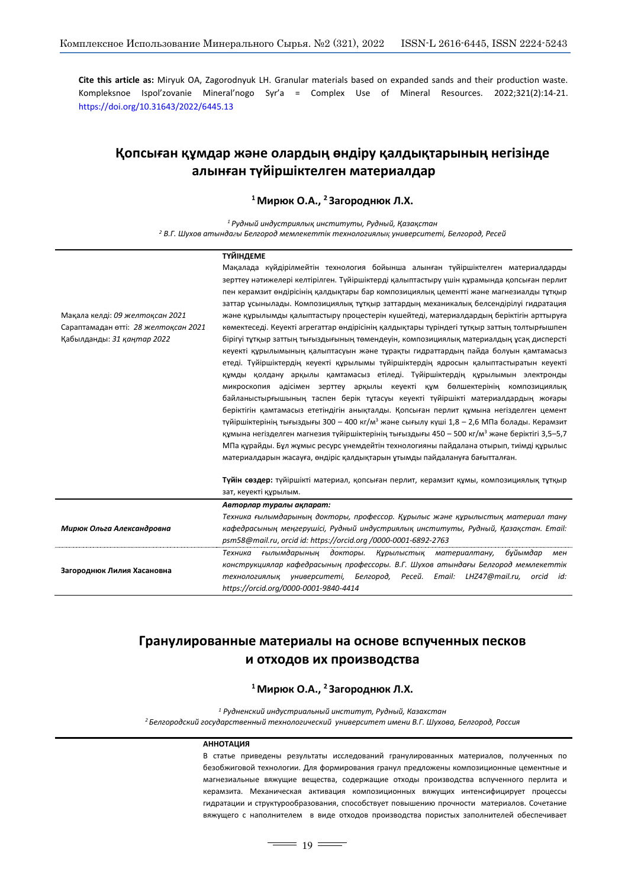**Cite this article as:** Miryuk OA, Zagorodnyuk LH. Granular materials based on expanded sands and their production waste. Kompleksnoe Ispol'zovanie Mineral'nogo Syr'a = Complex Use of Mineral Resources. 2022;321(2):14-21. <https://doi.org/10.31643/2022/6445.13>

## **Қопсыған құмдар және олардың өндіру қалдықтарының негізінде алынған түйіршіктелген материалдар**

**<sup>1</sup>Мирюк О.А., <sup>2</sup>Загороднюк Л.Х.**

*<sup>1</sup>Рудный индустриялық институты, Рудный, Қазақстан <sup>2</sup> В.Г. Шухов атындағы Белгород мемлекеттік технологиялық университеті, Белгород, Ресей*

|                                      | <b>ТҮЙІНДЕМЕ</b>                                                                                                                                                                                                                                                                                      |
|--------------------------------------|-------------------------------------------------------------------------------------------------------------------------------------------------------------------------------------------------------------------------------------------------------------------------------------------------------|
|                                      | Мақалада күйдірілмейтін технология бойынша алынған түйіршіктелген материалдарды                                                                                                                                                                                                                       |
|                                      | зерттеу нәтижелері келтірілген. Түйіршіктерді қалыптастыру үшін құрамында қопсыған перлит                                                                                                                                                                                                             |
|                                      | пен керамзит өндірісінің қалдықтары бар композициялық цементті және магнезиалды тұтқыр                                                                                                                                                                                                                |
|                                      | заттар ұсынылады. Композициялық тұтқыр заттардың механикалық белсендірілуі гидратация                                                                                                                                                                                                                 |
| Мақала келді: 09 желтоқсан 2021      | және құрылымды қалыптастыру процестерін күшейтеді, материалдардың беріктігін арттыруға                                                                                                                                                                                                                |
| Сараптамадан өтті: 28 желтоқсан 2021 | көмектеседі. Кеуекті агрегаттар өндірісінің қалдықтары түріндегі тұтқыр заттың толтырғышпен                                                                                                                                                                                                           |
| Қабылданды: 31 қаңтар 2022           | бірігуі тұтқыр заттың тығыздығының төмендеуін, композициялық материалдың ұсақ дисперсті                                                                                                                                                                                                               |
|                                      | кеуекті құрылымының қалыптасуын және тұрақты гидраттардың пайда болуын қамтамасыз                                                                                                                                                                                                                     |
|                                      | етеді. Түйіршіктердің кеуекті құрылымы түйіршіктердің ядросын қалыптастыратын кеуекті                                                                                                                                                                                                                 |
|                                      | құмды қолдану арқылы қамтамасыз етіледі. Түйіршіктердің құрылымын электронды                                                                                                                                                                                                                          |
|                                      | микроскопия әдісімен зерттеу арқылы кеуекті құм бөлшектерінің композициялық                                                                                                                                                                                                                           |
|                                      | байланыстырғышының таспен берік тұтасуы кеуекті түйіршікті материалдардың жоғары                                                                                                                                                                                                                      |
|                                      | беріктігін қамтамасыз ететіндігін анықталды. Қопсыған перлит құмына негізделген цемент                                                                                                                                                                                                                |
|                                      | түйіршіктерінің тығыздығы 300 – 400 кг/м <sup>3</sup> және сығылу күші 1,8 – 2,6 МПа болады. Керамзит                                                                                                                                                                                                 |
|                                      | құмына негізделген магнезия түйіршіктерінің тығыздығы 450 – 500 кг/м <sup>3</sup> және беріктігі 3,5–5,7                                                                                                                                                                                              |
|                                      | МПа құрайды. Бұл жұмыс ресурс үнемдейтін технологияны пайдалана отырып, тиімді құрылыс                                                                                                                                                                                                                |
|                                      | материалдарын жасауға, өндіріс қалдықтарын ұтымды пайдалануға бағытталған.                                                                                                                                                                                                                            |
|                                      | Түйін сөздер: түйіршікті материал, қопсыған перлит, керамзит құмы, композициялық тұтқыр                                                                                                                                                                                                               |
|                                      | зат, кеуекті құрылым.                                                                                                                                                                                                                                                                                 |
|                                      | Авторлар туралы ақпарат:                                                                                                                                                                                                                                                                              |
|                                      | Техника ғылымдарының докторы, профессор. Құрылыс және құрылыстық материал тану                                                                                                                                                                                                                        |
| Мирюк Ольга Александровна            | кафедрасының меңгерушісі, Рудный индустриялық институты, Рудный, Қазақстан. ЕтаіІ:                                                                                                                                                                                                                    |
|                                      | psm58@mail.ru, orcid id: https://orcid.org /0000-0001-6892-2763                                                                                                                                                                                                                                       |
| Загороднюк Лилия Хасановна           | ғылымдарының докторы. Құрылыстық материалтану,<br>Техника<br>бvйымдар<br>мен                                                                                                                                                                                                                          |
|                                      | конструкциялар кафедрасының профессоры. В.Г. Шухов атындағы Белгород мемлекеттік                                                                                                                                                                                                                      |
|                                      | $\mathbf{r}$ , and the contract of $\mathbf{r}$ , and $\mathbf{r}$ are $\mathbf{r}$ , $\mathbf{r}$ , $\mathbf{r}$ , $\mathbf{r}$ , $\mathbf{r}$ , $\mathbf{r}$ , $\mathbf{r}$ , $\mathbf{r}$ , $\mathbf{r}$ , $\mathbf{r}$ , $\mathbf{r}$ , $\mathbf{r}$ , $\mathbf{r}$ , $\mathbf{r}$ , $\mathbf{r}$ |

## **Гранулированные материалы на основе вспученных песков и отходов их производства**

*<https://orcid.org/0000-0001-9840-4414>*

#### **<sup>1</sup>Мирюк О.А., <sup>2</sup>Загороднюк Л.Х.**

*<sup>1</sup> Рудненский индустриальный институт, Рудный, Казахстан <sup>2</sup>Белгородский государственный технологический университет имени В.Г. Шухова, Белгород, Россия*

#### **АННОТАЦИЯ**

В статье приведены результаты исследований гранулированных материалов, полученных по безобжиговой технологии. Для формирования гранул предложены композиционные цементные и магнезиальные вяжущие вещества, содержащие отходы производства вспученного перлита и керамзита. Механическая активация композиционных вяжущих интенсифицирует процессы гидратации и структурообразования, способствует повышению прочности материалов. Сочетание вяжущего с наполнителем в виде отходов производства пористых заполнителей обеспечивает

*технологиялық университеті, Белгород, Ресей. Email: [LHZ47@mail.ru,](mailto:LHZ47@mail.ru) orcid id:*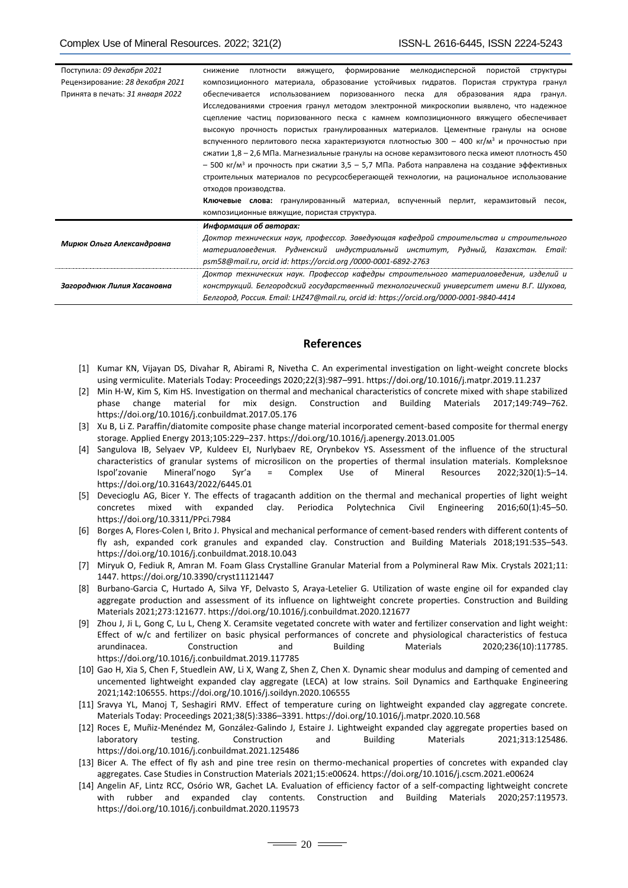| Поступила: 09 декабря 2021       | формирование мелкодисперсной пористой<br>вяжущего,<br>снижение<br>плотности<br>СТРУКТУРЫ                                                                                                                                                                                                                                                                                                                                                                                                                                                                                                                                                                                                                                                                                                                                                                                                   |
|----------------------------------|--------------------------------------------------------------------------------------------------------------------------------------------------------------------------------------------------------------------------------------------------------------------------------------------------------------------------------------------------------------------------------------------------------------------------------------------------------------------------------------------------------------------------------------------------------------------------------------------------------------------------------------------------------------------------------------------------------------------------------------------------------------------------------------------------------------------------------------------------------------------------------------------|
| Рецензирование: 28 декабря 2021  | композиционного материала, образование устойчивых гидратов. Пористая структура гранул                                                                                                                                                                                                                                                                                                                                                                                                                                                                                                                                                                                                                                                                                                                                                                                                      |
| Принята в печать: 31 января 2022 | использованием поризованного песка для образования<br>обеспечивается<br>ядра<br>гранул.<br>Исследованиями строения гранул методом электронной микроскопии выявлено, что надежное<br>сцепление частиц поризованного песка с камнем композиционного вяжущего обеспечивает<br>высокую прочность пористых гранулированных материалов. Цементные гранулы на основе<br>вспученного перлитового песка характеризуются плотностью 300 - 400 кг/м <sup>3</sup> и прочностью при<br>сжатии 1,8 – 2,6 МПа. Магнезиальные гранулы на основе керамзитового песка имеют плотность 450<br>- 500 кг/м <sup>3</sup> и прочность при сжатии 3,5 - 5,7 МПа. Работа направлена на создание эффективных<br>строительных материалов по ресурсосберегающей технологии, на рациональное использование<br>отходов производства.<br>Ключевые слова: гранулированный материал, вспученный перлит, керамзитовый песок, |
|                                  | композиционные вяжущие, пористая структура.                                                                                                                                                                                                                                                                                                                                                                                                                                                                                                                                                                                                                                                                                                                                                                                                                                                |
| Мирюк Ольга Александровна        | Информация об авторах:<br>Доктор технических наук, профессор. Заведующая кафедрой строительства и строительного<br>материаловедения. Рудненский индустриальный институт, Рудный, Казахстан. Етаіі:<br>psm58@mail.ru, orcid id: https://orcid.org /0000-0001-6892-2763                                                                                                                                                                                                                                                                                                                                                                                                                                                                                                                                                                                                                      |
| Загороднюк Лилия Хасановна       | Доктор технических наук. Профессор кафедры строительного материаловедения, изделий и<br>конструкций. Белгородский государственный технологический университет имени В.Г. Шухова,<br>Белгород, Россия. Email: LHZ47@mail.ru, orcid id: https://orcid.org/0000-0001-9840-4414                                                                                                                                                                                                                                                                                                                                                                                                                                                                                                                                                                                                                |

#### **References**

- [1] Kumar KN, Vijayan DS, Divahar R, Abirami R, Nivetha C. An experimental investigation on light-weight concrete blocks using vermiculite. Materials Today: Proceedings 2020;22(3):987–991[. https://doi.org/10.1016/j.matpr.2019.11.237](https://doi.org/10.1016/j.matpr.2019.11.237)
- [2] Min H-W, Kim S, Kim HS. Investigation on thermal and mechanical characteristics of concrete mixed with shape stabilized phase change material for mix design. Construction and Building Materials 2017;149:749–762. <https://doi.org/10.1016/j.conbuildmat.2017.05.176>
- [3] Xu B, Li Z. Paraffin/diatomite composite phase change material incorporated cement-based composite for thermal energy storage. Applied Energy 2013;105:229–237[. https://doi.org/10.1016/j.apenergy.2013.01.005](https://doi.org/10.1016/j.apenergy.2013.01.005)
- [4] Sangulova IB, Selyaev VP, Kuldeev EI, Nurlybaev RE, Orynbekov YS. Assessment of the influence of the structural characteristics of granular systems of microsilicon on the properties of thermal insulation materials. Kompleksnoe Ispol'zovanie Mineral'nogo Syr'a = Complex Use of Mineral Resources 2022;320(1):5–14. <https://doi.org/10.31643/2022/6445.01>
- [5] Devecioglu AG, Bicer Y. The effects of tragacanth addition on the thermal and mechanical properties of light weight concretes mixed with expanded clay. Periodica Polytechnica Civil Engineering 2016;60(1):45–50. <https://doi.org/10.3311/PPci.7984>
- [6] Borges A, Flores-Colen I, Brito J. Physical and mechanical performance of cement-based renders with different contents of fly ash, expanded cork granules and expanded clay. Construction and Building Materials 2018;191:535–543. <https://doi.org/10.1016/j.conbuildmat.2018.10.043>
- [7] Miryuk О, Fediuk R, Amran M. Foam Glass Crystalline Granular Material from a Polymineral Raw Mix. Crystals 2021;11: 1447.<https://doi.org/10.3390/cryst11121447>
- [8] Burbano-Garcia C, Hurtado A, Silva YF, Delvasto S, Araya-Letelier G. Utilization of waste engine oil for expanded clay aggregate production and assessment of its influence on lightweight concrete properties. Construction and Building Materials 2021;273:121677[. https://doi.org/10.1016/j.conbuildmat.2020.121677](https://doi.org/10.1016/j.conbuildmat.2020.121677)
- [9] Zhou J, Ji L, Gong C, Lu L, Cheng X. Ceramsite vegetated concrete with water and fertilizer conservation and light weight: Effect of w/c and fertilizer on basic physical performances of concrete and physiological characteristics of festuca arundinacea. Construction and Building Materials 2020;236(10):117785. <https://doi.org/10.1016/j.conbuildmat.2019.117785>
- [10] Gao H, Xia S, Chen F, Stuedlein AW, Li X, Wang Z, Shen Z, Chen X. Dynamic shear modulus and damping of cemented and uncemented lightweight expanded clay aggregate (LECA) at low strains. Soil Dynamics and Earthquake Engineering 2021;142:106555.<https://doi.org/10.1016/j.soildyn.2020.106555>
- [11] Sravya YL, Manoj T, Seshagiri RMV. Effect of temperature curing on lightweight expanded clay aggregate concrete. Materials Today: Proceedings 2021;38(5):3386–3391.<https://doi.org/10.1016/j.matpr.2020.10.568>
- [12] Roces E, Muñiz-Menéndez M, González-Galindo J, Estaire J. Lightweight expanded clay aggregate properties based on laboratory testing. Construction and Building Materials 2021;313:125486. <https://doi.org/10.1016/j.conbuildmat.2021.125486>
- [13] Bicer A. The effect of fly ash and pine tree resin on thermo-mechanical properties of concretes with expanded clay aggregates. Case Studies in Construction Materials 2021;15:e00624.<https://doi.org/10.1016/j.cscm.2021.e00624>
- [14] Angelin AF, Lintz RCC, Osório WR, Gachet LA. Evaluation of efficiency factor of a self-compacting lightweight concrete with rubber and expanded clay contents. Construction and Building Materials 2020;257:119573. <https://doi.org/10.1016/j.conbuildmat.2020.119573>